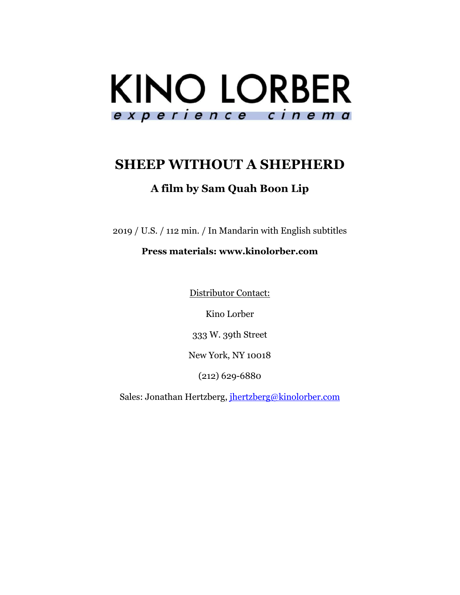

# **SHEEP WITHOUT A SHEPHERD**

## **A film by Sam Quah Boon Lip**

2019 / U.S. / 112 min. / In Mandarin with English subtitles

### **Press materials: www.kinolorber.com**

Distributor Contact:

Kino Lorber

333 W. 39th Street

New York, NY 10018

(212) 629-6880

Sales: Jonathan Hertzberg, jhertzberg@kinolorber.com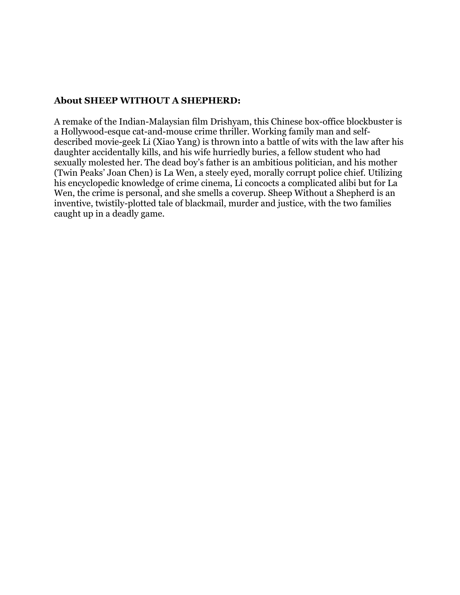#### **About SHEEP WITHOUT A SHEPHERD:**

A remake of the Indian-Malaysian film Drishyam, this Chinese box-office blockbuster is a Hollywood-esque cat-and-mouse crime thriller. Working family man and selfdescribed movie-geek Li (Xiao Yang) is thrown into a battle of wits with the law after his daughter accidentally kills, and his wife hurriedly buries, a fellow student who had sexually molested her. The dead boy's father is an ambitious politician, and his mother (Twin Peaks' Joan Chen) is La Wen, a steely eyed, morally corrupt police chief. Utilizing his encyclopedic knowledge of crime cinema, Li concocts a complicated alibi but for La Wen, the crime is personal, and she smells a coverup. Sheep Without a Shepherd is an inventive, twistily-plotted tale of blackmail, murder and justice, with the two families caught up in a deadly game.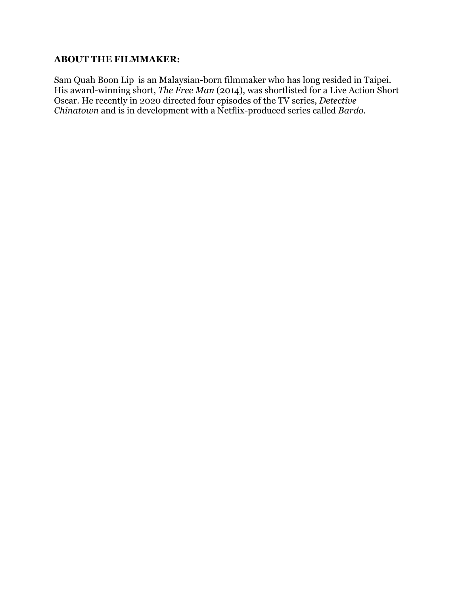#### **ABOUT THE FILMMAKER:**

Sam Quah Boon Lip is an Malaysian-born filmmaker who has long resided in Taipei. His award-winning short, *The Free Man* (2014), was shortlisted for a Live Action Short Oscar. He recently in 2020 directed four episodes of the TV series, *Detective Chinatown* and is in development with a Netflix-produced series called *Bardo.*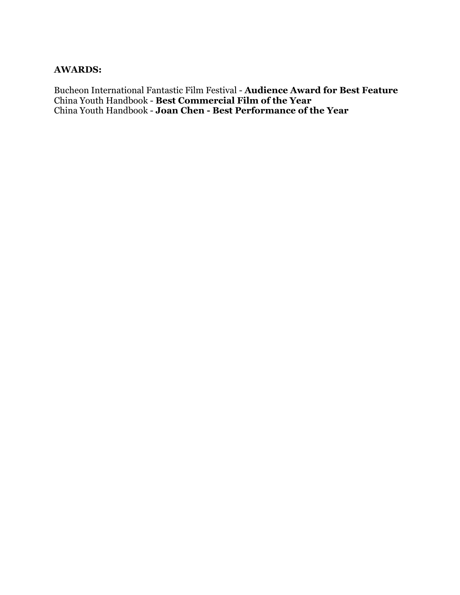#### **AWARDS:**

Bucheon International Fantastic Film Festival - **Audience Award for Best Feature** China Youth Handbook - **Best Commercial Film of the Year** China Youth Handbook - **Joan Chen - Best Performance of the Year**